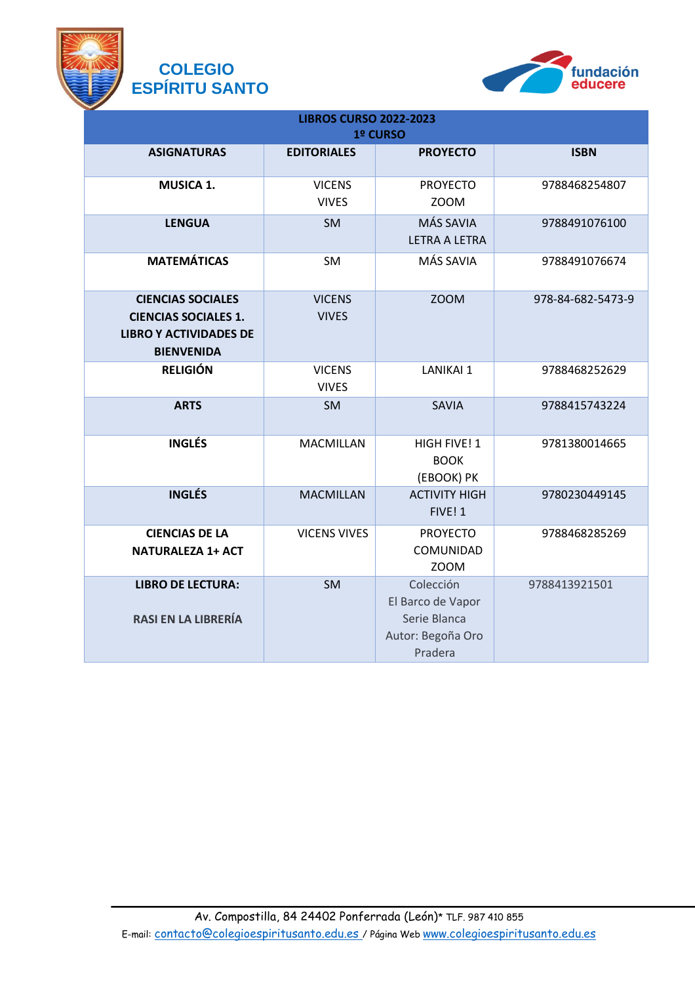

## **COLEGIO ESPÍRITU SANTO**



| <b>LIBROS CURSO 2022-2023</b><br>1º CURSO                                                                     |                               |                                                                                |                   |
|---------------------------------------------------------------------------------------------------------------|-------------------------------|--------------------------------------------------------------------------------|-------------------|
| <b>ASIGNATURAS</b>                                                                                            | <b>EDITORIALES</b>            | <b>PROYECTO</b>                                                                | <b>ISBN</b>       |
| <b>MUSICA 1.</b>                                                                                              | <b>VICENS</b><br><b>VIVES</b> | <b>PROYECTO</b><br><b>ZOOM</b>                                                 | 9788468254807     |
| <b>LENGUA</b>                                                                                                 | <b>SM</b>                     | MÁS SAVIA<br><b>LETRA A LETRA</b>                                              | 9788491076100     |
| <b>MATEMÁTICAS</b>                                                                                            | <b>SM</b>                     | MÁS SAVIA                                                                      | 9788491076674     |
| <b>CIENCIAS SOCIALES</b><br><b>CIENCIAS SOCIALES 1.</b><br><b>LIBRO Y ACTIVIDADES DE</b><br><b>BIENVENIDA</b> | <b>VICENS</b><br><b>VIVES</b> | <b>ZOOM</b>                                                                    | 978-84-682-5473-9 |
| <b>RELIGIÓN</b>                                                                                               | <b>VICENS</b><br><b>VIVES</b> | <b>LANIKAI 1</b>                                                               | 9788468252629     |
| <b>ARTS</b>                                                                                                   | <b>SM</b>                     | <b>SAVIA</b>                                                                   | 9788415743224     |
| <b>INGLÉS</b>                                                                                                 | <b>MACMILLAN</b>              | HIGH FIVE! 1<br><b>BOOK</b><br>(EBOOK) PK                                      | 9781380014665     |
| <b>INGLÉS</b>                                                                                                 | <b>MACMILLAN</b>              | <b>ACTIVITY HIGH</b><br>FIVE! 1                                                | 9780230449145     |
| <b>CIENCIAS DE LA</b><br><b>NATURALEZA 1+ ACT</b>                                                             | <b>VICENS VIVES</b>           | <b>PROYECTO</b><br>COMUNIDAD<br><b>ZOOM</b>                                    | 9788468285269     |
| <b>LIBRO DE LECTURA:</b><br><b>RASI EN LA LIBRERÍA</b>                                                        | <b>SM</b>                     | Colección<br>El Barco de Vapor<br>Serie Blanca<br>Autor: Begoña Oro<br>Pradera | 9788413921501     |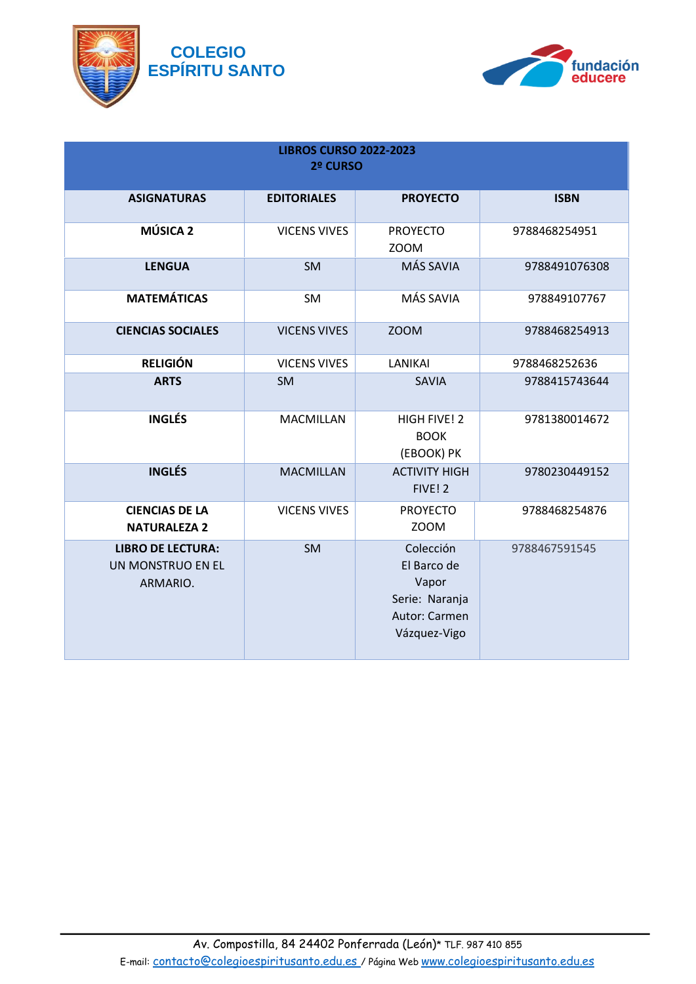

## **COLEGIO ESPÍRITU SANTO**



| <b>LIBROS CURSO 2022-2023</b><br>2º CURSO                 |                     |                                                                                      |               |
|-----------------------------------------------------------|---------------------|--------------------------------------------------------------------------------------|---------------|
| <b>ASIGNATURAS</b>                                        | <b>EDITORIALES</b>  | <b>PROYECTO</b>                                                                      | <b>ISBN</b>   |
| MÚSICA <sub>2</sub>                                       | <b>VICENS VIVES</b> | <b>PROYECTO</b><br><b>ZOOM</b>                                                       | 9788468254951 |
| <b>LENGUA</b>                                             | <b>SM</b>           | MÁS SAVIA                                                                            | 9788491076308 |
| <b>MATEMÁTICAS</b>                                        | SM                  | MÁS SAVIA                                                                            | 978849107767  |
| <b>CIENCIAS SOCIALES</b>                                  | <b>VICENS VIVES</b> | <b>ZOOM</b>                                                                          | 9788468254913 |
| <b>RELIGIÓN</b>                                           | <b>VICENS VIVES</b> | <b>LANIKAI</b>                                                                       | 9788468252636 |
| <b>ARTS</b>                                               | <b>SM</b>           | <b>SAVIA</b>                                                                         | 9788415743644 |
| <b>INGLÉS</b>                                             | <b>MACMILLAN</b>    | HIGH FIVE! 2<br><b>BOOK</b><br>(EBOOK) PK                                            | 9781380014672 |
| <b>INGLÉS</b>                                             | <b>MACMILLAN</b>    | <b>ACTIVITY HIGH</b><br>FIVE! 2                                                      | 9780230449152 |
| <b>CIENCIAS DE LA</b><br><b>NATURALEZA 2</b>              | <b>VICENS VIVES</b> | <b>PROYECTO</b><br><b>ZOOM</b>                                                       | 9788468254876 |
| <b>LIBRO DE LECTURA:</b><br>UN MONSTRUO EN EL<br>ARMARIO. | <b>SM</b>           | Colección<br>El Barco de<br>Vapor<br>Serie: Naranja<br>Autor: Carmen<br>Vázquez-Vigo | 9788467591545 |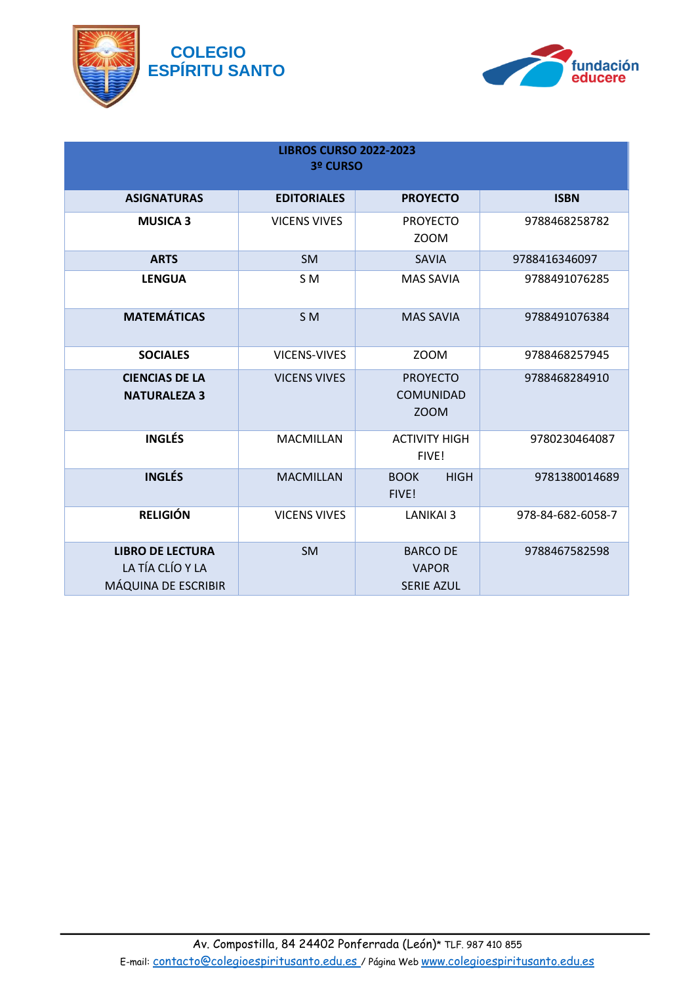



| <b>LIBROS CURSO 2022-2023</b><br>3º CURSO                          |                     |                                                      |                   |
|--------------------------------------------------------------------|---------------------|------------------------------------------------------|-------------------|
| <b>ASIGNATURAS</b>                                                 | <b>EDITORIALES</b>  | <b>PROYECTO</b>                                      | <b>ISBN</b>       |
| <b>MUSICA 3</b>                                                    | <b>VICENS VIVES</b> | <b>PROYECTO</b><br>ZOOM                              | 9788468258782     |
| <b>ARTS</b>                                                        | <b>SM</b>           | <b>SAVIA</b>                                         | 9788416346097     |
| <b>LENGUA</b>                                                      | S <sub>M</sub>      | <b>MAS SAVIA</b>                                     | 9788491076285     |
| <b>MATEMÁTICAS</b>                                                 | S <sub>M</sub>      | <b>MAS SAVIA</b>                                     | 9788491076384     |
| <b>SOCIALES</b>                                                    | VICENS-VIVES        | ZOOM                                                 | 9788468257945     |
| <b>CIENCIAS DE LA</b><br><b>NATURALEZA 3</b>                       | <b>VICENS VIVES</b> | <b>PROYECTO</b><br><b>COMUNIDAD</b><br>ZOOM          | 9788468284910     |
| <b>INGLÉS</b>                                                      | MACMILLAN           | <b>ACTIVITY HIGH</b><br>FIVE!                        | 9780230464087     |
| <b>INGLÉS</b>                                                      | <b>MACMILLAN</b>    | <b>BOOK</b><br><b>HIGH</b><br>FIVE!                  | 9781380014689     |
| <b>RELIGIÓN</b>                                                    | <b>VICENS VIVES</b> | <b>LANIKAI 3</b>                                     | 978-84-682-6058-7 |
| <b>LIBRO DE LECTURA</b><br>LA TÍA CLÍO Y LA<br>MÁQUINA DE ESCRIBIR | SM                  | <b>BARCO DE</b><br><b>VAPOR</b><br><b>SERIE AZUL</b> | 9788467582598     |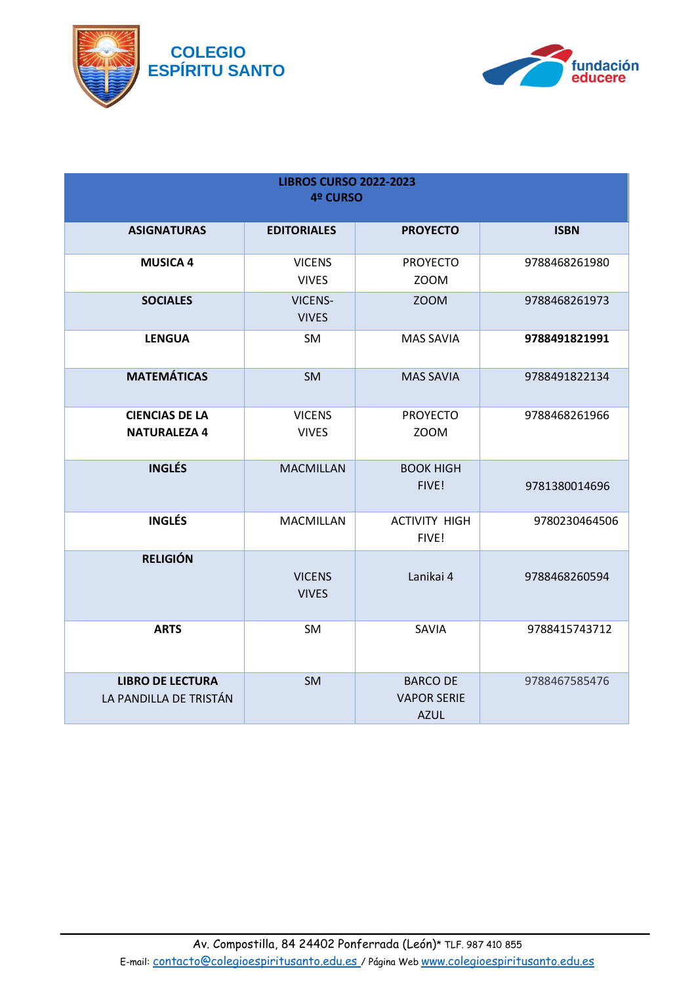



| <b>LIBROS CURSO 2022-2023</b>                     |                                |                                                      |               |
|---------------------------------------------------|--------------------------------|------------------------------------------------------|---------------|
| 4º CURSO                                          |                                |                                                      |               |
| <b>ASIGNATURAS</b>                                | <b>EDITORIALES</b>             | <b>PROYECTO</b>                                      | <b>ISBN</b>   |
| <b>MUSICA 4</b>                                   | <b>VICENS</b><br><b>VIVES</b>  | <b>PROYECTO</b><br><b>ZOOM</b>                       | 9788468261980 |
| <b>SOCIALES</b>                                   | <b>VICENS-</b><br><b>VIVES</b> | <b>ZOOM</b>                                          | 9788468261973 |
| <b>LENGUA</b>                                     | SM                             | <b>MAS SAVIA</b>                                     | 9788491821991 |
| <b>MATEMÁTICAS</b>                                | <b>SM</b>                      | <b>MAS SAVIA</b>                                     | 9788491822134 |
| <b>CIENCIAS DE LA</b><br><b>NATURALEZA 4</b>      | <b>VICENS</b><br><b>VIVES</b>  | <b>PROYECTO</b><br><b>ZOOM</b>                       | 9788468261966 |
| <b>INGLÉS</b>                                     | <b>MACMILLAN</b>               | <b>BOOK HIGH</b><br>FIVE!                            | 9781380014696 |
| <b>INGLÉS</b>                                     | <b>MACMILLAN</b>               | <b>ACTIVITY HIGH</b><br>FIVE!                        | 9780230464506 |
| <b>RELIGIÓN</b>                                   | <b>VICENS</b><br><b>VIVES</b>  | Lanikai 4                                            | 9788468260594 |
| <b>ARTS</b>                                       | <b>SM</b>                      | SAVIA                                                | 9788415743712 |
| <b>LIBRO DE LECTURA</b><br>LA PANDILLA DE TRISTÁN | SM                             | <b>BARCO DE</b><br><b>VAPOR SERIE</b><br><b>AZUL</b> | 9788467585476 |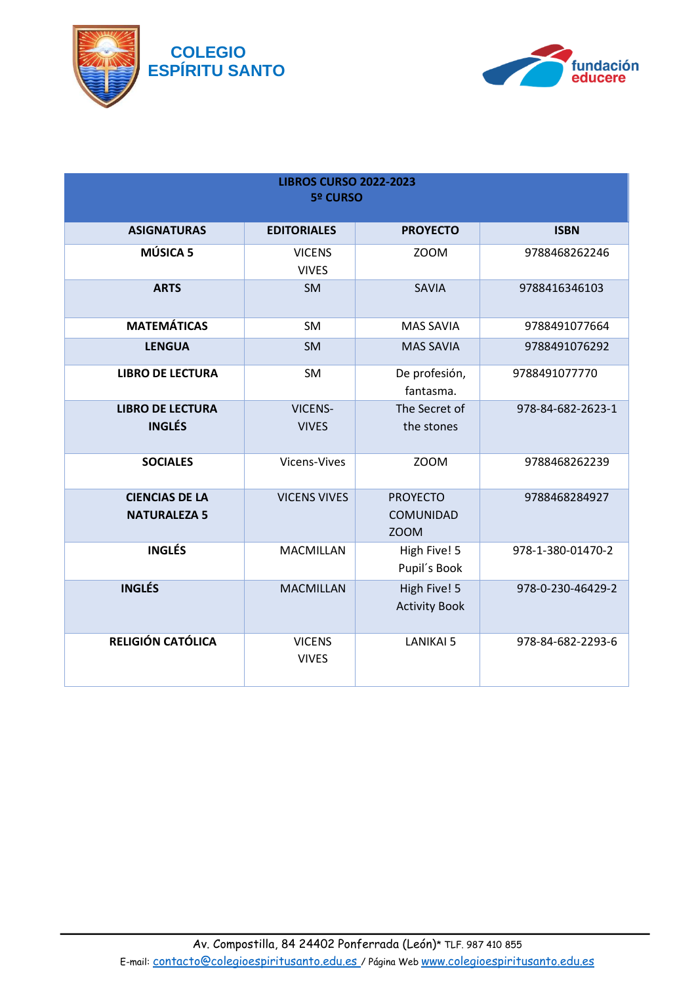



| <b>LIBROS CURSO 2022-2023</b><br><b>5º CURSO</b> |                                |                                             |                   |
|--------------------------------------------------|--------------------------------|---------------------------------------------|-------------------|
| <b>ASIGNATURAS</b>                               | <b>EDITORIALES</b>             | <b>PROYECTO</b>                             | <b>ISBN</b>       |
| MÚSICA 5                                         | <b>VICENS</b><br><b>VIVES</b>  | <b>ZOOM</b>                                 | 9788468262246     |
| <b>ARTS</b>                                      | SM                             | <b>SAVIA</b>                                | 9788416346103     |
| <b>MATEMÁTICAS</b>                               | SM                             | <b>MAS SAVIA</b>                            | 9788491077664     |
| <b>LENGUA</b>                                    | <b>SM</b>                      | <b>MAS SAVIA</b>                            | 9788491076292     |
| <b>LIBRO DE LECTURA</b>                          | SM                             | De profesión,<br>fantasma.                  | 9788491077770     |
| <b>LIBRO DE LECTURA</b><br><b>INGLÉS</b>         | <b>VICENS-</b><br><b>VIVES</b> | The Secret of<br>the stones                 | 978-84-682-2623-1 |
| <b>SOCIALES</b>                                  | Vicens-Vives                   | <b>ZOOM</b>                                 | 9788468262239     |
| <b>CIENCIAS DE LA</b><br><b>NATURALEZA 5</b>     | <b>VICENS VIVES</b>            | <b>PROYECTO</b><br>COMUNIDAD<br><b>ZOOM</b> | 9788468284927     |
| <b>INGLÉS</b>                                    | <b>MACMILLAN</b>               | High Five! 5<br>Pupil's Book                | 978-1-380-01470-2 |
| <b>INGLÉS</b>                                    | <b>MACMILLAN</b>               | High Five! 5<br><b>Activity Book</b>        | 978-0-230-46429-2 |
| RELIGIÓN CATÓLICA                                | <b>VICENS</b><br><b>VIVES</b>  | <b>LANIKAI 5</b>                            | 978-84-682-2293-6 |